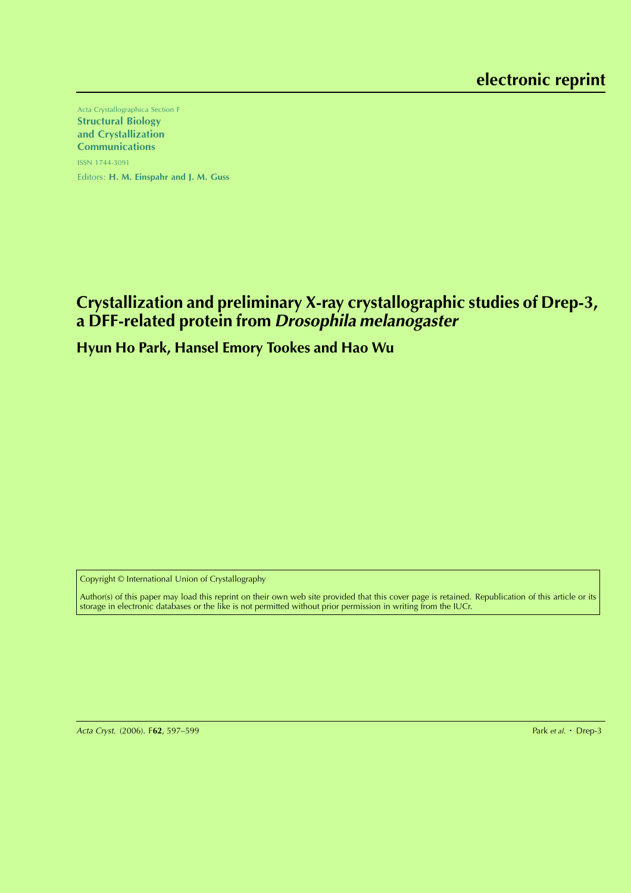Acta Crystallographica Section F Structural Biology and Crystallization Communications ISSN 1744-3091 Editors: H. M. Einspahr and J. M. Guss

# **Crystallization and preliminary X-ray crystallographic studies of Drep-3, a DFF-related protein from Drosophila melanogaster**

# **Hyun Ho Park, Hansel Emory Tookes and Hao Wu**

Copyright © International Union of Crystallography

Author(s) of this paper may load this reprint on their own web site provided that this cover page is retained. Republication of this article or its storage in electronic databases or the like is not permitted without prior permission in writing from the IUCr.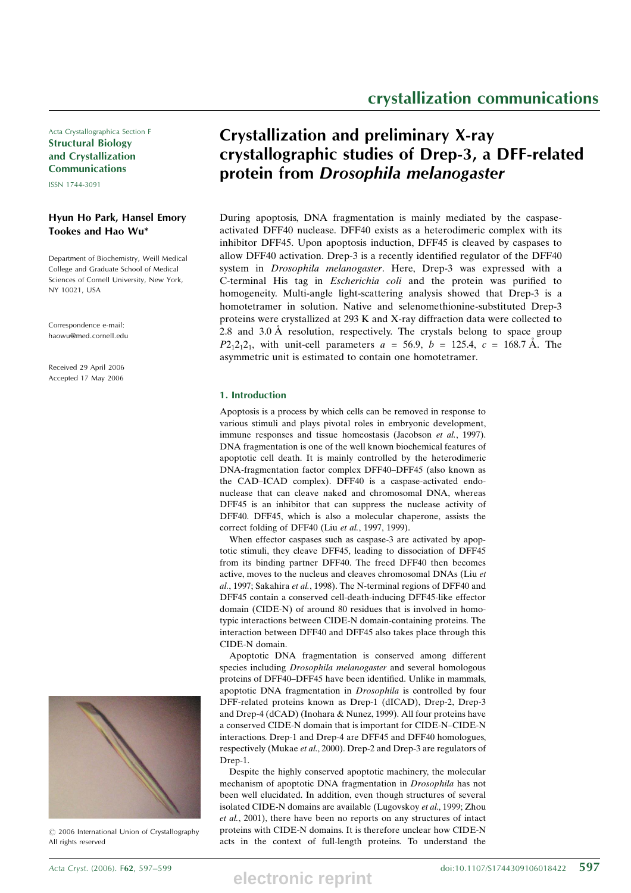Acta Crystallographica Section F Structural Biology and Crystallization Communications

ISSN 1744-3091

# Hyun Ho Park, Hansel Emory Tookes and Hao Wu\*

Department of Biochemistry, Weill Medical College and Graduate School of Medical Sciences of Cornell University, New York, NY 10021, USA

Correspondence e-mail: haowu@med.cornell.edu

Received 29 April 2006 Accepted 17 May 2006



 $\circ$  2006 International Union of Crystallography All rights reserved

# Crystallization and preliminary X-ray crystallographic studies of Drep-3, a DFF-related protein from Drosophila melanogaster

During apoptosis, DNA fragmentation is mainly mediated by the caspaseactivated DFF40 nuclease. DFF40 exists as a heterodimeric complex with its inhibitor DFF45. Upon apoptosis induction, DFF45 is cleaved by caspases to allow DFF40 activation. Drep-3 is a recently identified regulator of the DFF40 system in Drosophila melanogaster. Here, Drep-3 was expressed with a C-terminal His tag in Escherichia coli and the protein was purified to homogeneity. Multi-angle light-scattering analysis showed that Drep-3 is a homotetramer in solution. Native and selenomethionine-substituted Drep-3 proteins were crystallized at 293 K and X-ray diffraction data were collected to 2.8 and 3.0  $\AA$  resolution, respectively. The crystals belong to space group  $P2_12_12_1$ , with unit-cell parameters  $a = 56.9$ ,  $b = 125.4$ ,  $c = 168.7$  Å. The asymmetric unit is estimated to contain one homotetramer.

## 1. Introduction

Apoptosis is a process by which cells can be removed in response to various stimuli and plays pivotal roles in embryonic development, immune responses and tissue homeostasis (Jacobson et al., 1997). DNA fragmentation is one of the well known biochemical features of apoptotic cell death. It is mainly controlled by the heterodimeric DNA-fragmentation factor complex DFF40–DFF45 (also known as the CAD–ICAD complex). DFF40 is a caspase-activated endonuclease that can cleave naked and chromosomal DNA, whereas DFF45 is an inhibitor that can suppress the nuclease activity of DFF40. DFF45, which is also a molecular chaperone, assists the correct folding of DFF40 (Liu et al., 1997, 1999).

When effector caspases such as caspase-3 are activated by apoptotic stimuli, they cleave DFF45, leading to dissociation of DFF45 from its binding partner DFF40. The freed DFF40 then becomes active, moves to the nucleus and cleaves chromosomal DNAs (Liu et al., 1997; Sakahira et al., 1998). The N-terminal regions of DFF40 and DFF45 contain a conserved cell-death-inducing DFF45-like effector domain (CIDE-N) of around 80 residues that is involved in homotypic interactions between CIDE-N domain-containing proteins. The interaction between DFF40 and DFF45 also takes place through this CIDE-N domain.

Apoptotic DNA fragmentation is conserved among different species including Drosophila melanogaster and several homologous proteins of DFF40–DFF45 have been identified. Unlike in mammals, apoptotic DNA fragmentation in Drosophila is controlled by four DFF-related proteins known as Drep-1 (dICAD), Drep-2, Drep-3 and Drep-4 (dCAD) (Inohara & Nunez, 1999). All four proteins have a conserved CIDE-N domain that is important for CIDE-N–CIDE-N interactions. Drep-1 and Drep-4 are DFF45 and DFF40 homologues, respectively (Mukae et al., 2000). Drep-2 and Drep-3 are regulators of Drep-1.

Despite the highly conserved apoptotic machinery, the molecular mechanism of apoptotic DNA fragmentation in Drosophila has not been well elucidated. In addition, even though structures of several isolated CIDE-N domains are available (Lugovskoy et al., 1999; Zhou et al., 2001), there have been no reports on any structures of intact proteins with CIDE-N domains. It is therefore unclear how CIDE-N acts in the context of full-length proteins. To understand the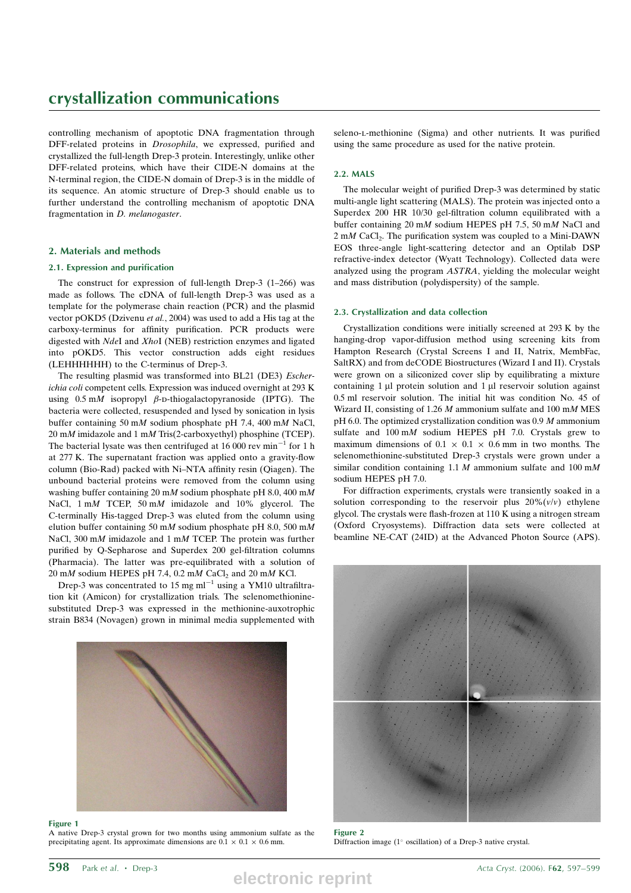# crystallization communications

controlling mechanism of apoptotic DNA fragmentation through DFF-related proteins in Drosophila, we expressed, purified and crystallized the full-length Drep-3 protein. Interestingly, unlike other DFF-related proteins, which have their CIDE-N domains at the N-terminal region, the CIDE-N domain of Drep-3 is in the middle of its sequence. An atomic structure of Drep-3 should enable us to further understand the controlling mechanism of apoptotic DNA fragmentation in D. melanogaster.

# 2. Materials and methods

### 2.1. Expression and purification

The construct for expression of full-length Drep-3 (1–266) was made as follows. The cDNA of full-length Drep-3 was used as a template for the polymerase chain reaction (PCR) and the plasmid vector pOKD5 (Dzivenu et al., 2004) was used to add a His tag at the carboxy-terminus for affinity purification. PCR products were digested with NdeI and XhoI (NEB) restriction enzymes and ligated into pOKD5. This vector construction adds eight residues (LEHHHHHH) to the C-terminus of Drep-3.

The resulting plasmid was transformed into BL21 (DE3) Escherichia coli competent cells. Expression was induced overnight at 293 K using  $0.5 \text{ m}$  isopropyl  $\beta$ -D-thiogalactopyranoside (IPTG). The bacteria were collected, resuspended and lysed by sonication in lysis buffer containing 50 mM sodium phosphate pH 7.4, 400 mM NaCl, 20 mM imidazole and 1 mM Tris(2-carboxyethyl) phosphine (TCEP). The bacterial lysate was then centrifuged at 16 000 rev  $min^{-1}$  for 1 h at 277 K. The supernatant fraction was applied onto a gravity-flow column (Bio-Rad) packed with Ni–NTA affinity resin (Qiagen). The unbound bacterial proteins were removed from the column using washing buffer containing 20 mM sodium phosphate pH 8.0, 400 mM NaCl, 1 mM TCEP, 50 mM imidazole and 10% glycerol. The C-terminally His-tagged Drep-3 was eluted from the column using elution buffer containing 50 mM sodium phosphate pH 8.0, 500 mM NaCl, 300 mM imidazole and 1 mM TCEP. The protein was further purified by Q-Sepharose and Superdex 200 gel-filtration columns (Pharmacia). The latter was pre-equilibrated with a solution of  $20 \text{ mM}$  sodium HEPES pH 7.4, 0.2 mM CaCl<sub>2</sub> and 20 mM KCl.

Drep-3 was concentrated to 15 mg  $ml^{-1}$  using a YM10 ultrafiltration kit (Amicon) for crystallization trials. The selenomethioninesubstituted Drep-3 was expressed in the methionine-auxotrophic strain B834 (Novagen) grown in minimal media supplemented with



#### Figure 1

A native Drep-3 crystal grown for two months using ammonium sulfate as the precipitating agent. Its approximate dimensions are  $0.1 \times 0.1 \times 0.6$  mm.

seleno-l-methionine (Sigma) and other nutrients. It was purified using the same procedure as used for the native protein.

## 2.2. MALS

The molecular weight of purified Drep-3 was determined by static multi-angle light scattering (MALS). The protein was injected onto a Superdex 200 HR 10/30 gel-filtration column equilibrated with a buffer containing 20 mM sodium HEPES pH 7.5, 50 mM NaCl and  $2 \text{ m}$ M CaCl<sub>2</sub>. The purification system was coupled to a Mini-DAWN EOS three-angle light-scattering detector and an Optilab DSP refractive-index detector (Wyatt Technology). Collected data were analyzed using the program ASTRA, yielding the molecular weight and mass distribution (polydispersity) of the sample.

### 2.3. Crystallization and data collection

Crystallization conditions were initially screened at 293 K by the hanging-drop vapor-diffusion method using screening kits from Hampton Research (Crystal Screens I and II, Natrix, MembFac, SaltRX) and from deCODE Biostructures (Wizard I and II). Crystals were grown on a siliconized cover slip by equilibrating a mixture containing  $1 \mu l$  protein solution and  $1 \mu l$  reservoir solution against 0.5 ml reservoir solution. The initial hit was condition No. 45 of Wizard II, consisting of 1.26  $M$  ammonium sulfate and 100 m $M$  MES pH 6.0. The optimized crystallization condition was 0.9 M ammonium sulfate and 100 mM sodium HEPES pH 7.0. Crystals grew to maximum dimensions of  $0.1 \times 0.1 \times 0.6$  mm in two months. The selenomethionine-substituted Drep-3 crystals were grown under a similar condition containing 1.1  $M$  ammonium sulfate and 100 m $M$ sodium HEPES pH 7.0.

For diffraction experiments, crystals were transiently soaked in a solution corresponding to the reservoir plus  $20\%$   $(v/v)$  ethylene glycol. The crystals were flash-frozen at 110 K using a nitrogen stream (Oxford Cryosystems). Diffraction data sets were collected at beamline NE-CAT (24ID) at the Advanced Photon Source (APS).



Figure 2 Diffraction image ( $1^\circ$  oscillation) of a Drep-3 native crystal.